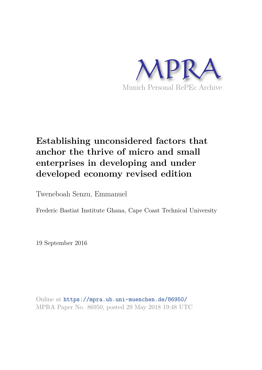

# **Establishing unconsidered factors that anchor the thrive of micro and small enterprises in developing and under developed economy revised edition**

Tweneboah Senzu, Emmanuel

Frederic Bastiat Institute Ghana, Cape Coast Technical University

19 September 2016

Online at https://mpra.ub.uni-muenchen.de/86950/ MPRA Paper No. 86950, posted 29 May 2018 19:48 UTC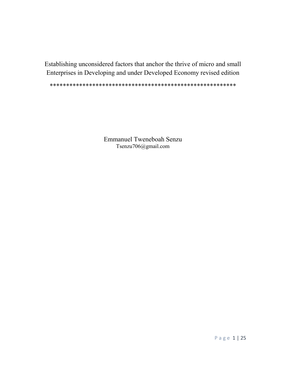Establishing unconsidered factors that anchor the thrive of micro and small Enterprises in Developing and under Developed Economy revised edition

\*\*\*\*\*\*\*\*\*\*\*\*\*\*\*\*\*\*\*\*\*\*\*\*\*\*\*\*\*\*\*\*\*\*\*\*\*\*\*\*\*\*\*\*\*\*\*\*\*\*\*\*\*\*\*\*\*

Emmanuel Tweneboah Senzu Tsenzu706@gmail.com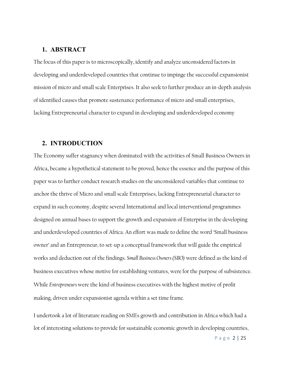## 1. ABSTRACT

The focus of this paper is to microscopically, identify and analyze unconsidered factors in developing and underdeveloped countries that continue to impinge the successful expansionist mission of micro and small scale Enterprises. It also seek to further produce an in-depth analysis of identified causes that promote sustenance performance of micro and small enterprises, lacking Entrepreneurial character to expand in developing and underdeveloped economy

### 2. INTRODUCTION

The Economy suffer stagnancy when dominated with the activities of Small Business Owners in Africa, became a hypothetical statement to be proved, hence the essence and the purpose of this paper was to further conduct research studies on the unconsidered variables that continue to anchor the thrive of Micro and small scale Enterprises, lacking Entrepreneurial character to expand in such economy, despite several International and local interventional programmes designed on annual bases to support the growth and expansion of Enterprise in the developing and underdeveloped countries of Africa. An effort was made to define the word 'Small business owner' and an Entrepreneur, to set-up a conceptual framework that will guide the empirical works and deduction out of the findings. Small Business Owners (SBO) were defined as the kind of business executives whose motive for establishing ventures, were for the purpose of subsistence. While Entrepreneurs were the kind of business executives with the highest motive of profit making, driven under expansionist agenda within a set time frame.

I undertook a lot of literature reading on SMEs growth and contribution in Africa which had a lot of interesting solutions to provide for sustainable economic growth in developing countries,

P a g e 2 | 25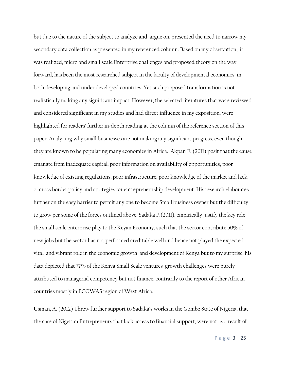but due to the nature of the subject to analyze and argue on, presented the need to narrow my secondary data collection as presented in my referenced column. Based on my observation, it was realized, micro and small scale Enterprise challenges and proposed theory on the way forward, has been the most researched subject in the faculty of developmental economics in both developing and under developed countries. Yet such proposed transformation is not realistically making any significant impact. However, the selected literatures that were reviewed and considered significant in my studies and had direct influence in my exposition, were highlighted for readers' further in-depth reading at the column of the reference section of this paper. Analyzing why small businesses are not making any significant progress, even though, they are known to be populating many economies in Africa. Akpan E. (2011) posit that the cause emanate from inadequate capital, poor information on availability of opportunities, poor knowledge of existing regulations, poor infrastructure, poor knowledge of the market and lack of cross border policy and strategies for entrepreneurship development. His research elaborates further on the easy barrier to permit any one to become Small business owner but the difficulty to grow per some of the forces outlined above. Sadaka P.(2011), empirically justify the key role the small scale enterprise play to the Keyan Economy, such that the sector contribute 50% of new jobs but the sector has not performed creditable well and hence not played the expected vital and vibrant role in the economic growth and development of Kenya but to my surprise, his data depicted that 77% of the Kenya Small Scale ventures growth challenges were purely attributed to managerial competency but not finance, contrarily to the report of other African countries mostly in ECOWAS region of West Africa.

Usman, A. (2012) Threw further support to Sadaka's works in the Gombe State of Nigeria, that the case of Nigerian Entrepreneurs that lack access to financial support, were not as a result of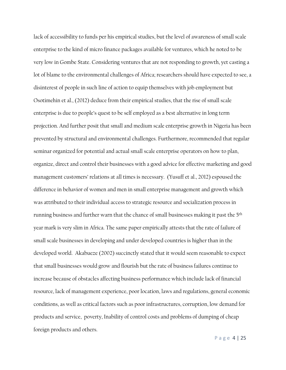lack of accessibility to funds per his empirical studies, but the level of awareness of small scale enterprise to the kind of micro finance packages available for ventures, which he noted to be very low in Gombe State. Considering ventures that are not responding to growth, yet casting a lot of blame to the environmental challenges of Africa; researchers should have expected to see, a disinterest of people in such line of action to equip themselves with job employment but Osotimehin et al., (2012) deduce from their empirical studies, that the rise of small scale enterprise is due to people's quest to be self employed as a best alternative in long term projection. And further posit that small and medium scale enterprise growth in Nigeria has been prevented by structural and environmental challenges. Furthermore, recommended that regular seminar organized for potential and actual small scale enterprise operators on how to plan, organize, direct and control their businesses with a good advice for effective marketing and good management customers' relations at all times is necessary. (Yusuff et al., 2012) espoused the difference in behavior of women and men in small enterprise management and growth which was attributed to their individual access to strategic resource and socialization process in running business and further warn that the chance of small businesses making it past the 5<sup>th</sup> year mark is very slim in Africa. The same paper empirically attests that the rate of failure of small scale businesses in developing and under developed countries is higher than in the developed world. Akabueze (2002) succinctly stated that it would seem reasonable to expect that small businesses would grow and flourish but the rate of business failures continue to increase because of obstacles affecting business performance which include lack of financial resource, lack of management experience, poor location, laws and regulations, general economic conditions, as well as critical factors such as poor infrastructures, corruption, low demand for products and service, poverty, Inability of control costs and problems of dumping of cheap foreign products and others.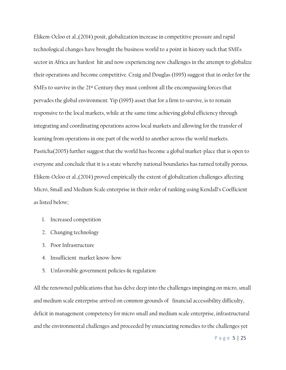Elikem-Ocloo et al.,(2014) posit, globalization increase in competitive pressure and rapid technological changes have brought the business world to a point in history such that SMEs sector in Africa are hardest hit and now experiencing new challenges in the attempt to globalize their operations and become competitive. Craig and Douglas (1995) suggest that in order for the SMEs to survive in the 21<sup>st</sup> Century they must confront all the encompassing forces that pervades the global environment. Yip (1995) asset that for a firm to survive, is to remain responsive to the local markets, while at the same time achieving global efficiency through integrating and coordinating operations across local markets and allowing for the transfer of learning from operations in one part of the world to another across the world markets. Pasricha(2005) further suggest that the world has become a global market-place that is open to everyone and conclude that it is a state whereby national boundaries has turned totally porous. Elikem-Ocloo et al.,(2014) proved empirically the extent of globalization challenges affecting Micro, Small and Medium Scale enterprise in their order of ranking using Kendall's Coefficient as listed below;

- 1. Increased competition
- 2. Changing technology
- 3. Poor Infrastructure
- 4. Insufficient market know-how
- 5. Unfavorable government policies & regulation

All the renowned publications that has delve deep into the challenges impinging on micro, small and medium scale enterprise arrived on common grounds of financial accessibility difficulty, deficit in management competency for micro small and medium scale enterprise, infrastructural and the environmental challenges and proceeded by enunciating remedies to the challenges yet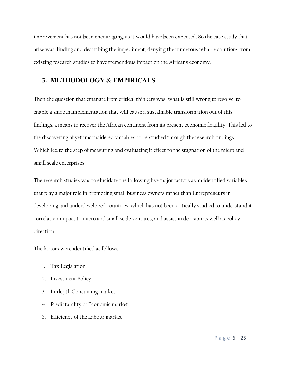improvement has not been encouraging, as it would have been expected. So the case study that arise was, finding and describing the impediment, denying the numerous reliable solutions from existing research studies to have tremendous impact on the Africans economy.

## 3. METHODOLOGY & EMPIRICALS

Then the question that emanate from critical thinkers was, what is still wrong to resolve, to enable a smooth implementation that will cause a sustainable transformation out of this findings, a means to recover the African continent from its present economic fragility. This led to the discovering of yet unconsidered variables to be studied through the research findings. Which led to the step of measuring and evaluating it effect to the stagnation of the micro and small scale enterprises.

The research studies was to elucidate the following five major factors as an identified variables that play a major role in promoting small business owners rather than Entrepreneurs in developing and underdeveloped countries, which has not been critically studied to understand it correlation impact to micro and small scale ventures, and assist in decision as well as policy direction

The factors were identified as follows

- 1. Tax Legislation
- 2. Investment Policy
- 3. In-depth Consuming market
- 4. Predictability of Economic market
- 5. Efficiency of the Labour market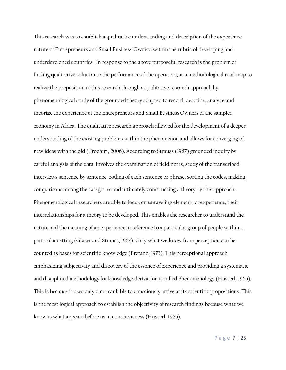This research was to establish a qualitative understanding and description of the experience nature of Entrepreneurs and Small Business Owners within the rubric of developing and underdeveloped countries. In response to the above purposeful research is the problem of finding qualitative solution to the performance of the operators, as a methodological road map to realize the preposition of this research through a qualitative research approach by phenomenological study of the grounded theory adapted to record, describe, analyze and theorize the experience of the Entrepreneurs and Small Business Owners of the sampled economy in Africa. The qualitative research approach allowed for the development of a deeper understanding of the existing problems within the phenomenon and allows for converging of new ideas with the old (Trochim, 2006). According to Strauss (1987) grounded inquiry by careful analysis of the data, involves the examination of field notes, study of the transcribed interviews sentence by sentence, coding of each sentence or phrase, sorting the codes, making comparisons among the categories and ultimately constructing a theory by this approach. Phenomenological researchers are able to focus on unraveling elements of experience, their interrelationships for a theory to be developed. This enables the researcher to understand the nature and the meaning of an experience in reference to a particular group of people within a particular setting (Glaser and Strauss, 1967). Only what we know from perception can be counted as bases for scientific knowledge (Bretano, 1973). This perceptional approach emphasizing subjectivity and discovery of the essence of experience and providing a systematic and disciplined methodology for knowledge derivation is called Phenomenology (Husserl, 1965). This is because it uses only data available to consciously arrive at its scientific propositions. This is the most logical approach to establish the objectivity of research findings because what we know is what appears before us in consciousness (Husserl, 1965).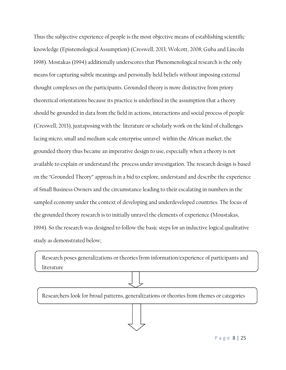Thus the subjective experience of people is the most objective means of establishing scientific knowledge (Epistemological Assumption) (Creswell, 2013; Wolcott, 2008; Guba and Lincoln 1998). Mostakas (1994) additionally underscores that Phenomenological research is the only means for capturing subtle meanings and personally held beliefs without imposing external thought complexes on the participants. Grounded theory is more distinctive from priory theoretical orientations because its practice is underlined in the assumption that a theory should be grounded in data from the field in actions, interactions and social process of people (Creswell, 2013), juxtaposing with the literature or scholarly work on the kind of challenges facing micro, small and medium scale enterprise unravel within the African market, the grounded theory thus became an imperative design to use, especially when a theory is not available to explain or understand the process under investigation. The research design is based on the "Grounded Theory" approach in a bid to explore, understand and describe the experience of Small Business Owners and the circumstance leading to their escalating in numbers in the sampled economy under the context of developing and underdeveloped countries. The focus of the grounded theory research is to initially unravel the elements of experience (Moustakas, 1994). So the research was designed to follow the basic steps for an inductive logical qualitative study as demonstrated below;

Research poses generalizations or theories from information/experience of participants and literature

Researchers look for broad patterns, generalizations or theories from themes or categories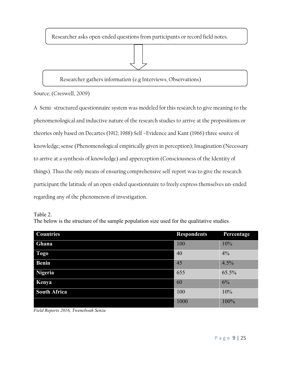Researcher asks open-ended questions from participants or record field notes.



Source; (Creswell, 2009)

A Semi- structured questionnaire system was modeled for this research to give meaning to the phenomenological and inductive nature of the research studies to arrive at the propositions or theories only based on Decartes (1912; 1988) Self –Evidence and Kant (1966) three source of knowledge; sense (Phenomenological empirically given in perception); Imagination (Necessary to arrive at a synthesis of knowledge) and apperception (Consciousness of the Identity of things). Thus the only means of ensuring comprehensive self-report was to give the research participant the latitude of an open-ended questionnaire to freely express themselves un-ended regarding any of the phenomenon of investigation.

Table 2.

The below is the structure of the sample population size used for the qualitative studies

| <b>Countries</b>    | <b>Respondents</b> | Percentage |
|---------------------|--------------------|------------|
| Ghana               | 100                | 10%        |
| <b>Togo</b>         | 40                 | 4%         |
| <b>Benin</b>        | 45                 | 4.5%       |
| Nigeria             | 655                | 65.5%      |
| Kenya               | 60                 | 6%         |
| <b>South Africa</b> | 100                | 10%        |
|                     | 1000               | 100%       |

Field Reports 2016, Tweneboah Senzu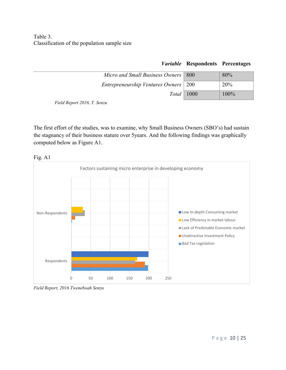Table 3. Classification of the population sample size

|                                       | r <i>aracore</i> recopondents references |      |
|---------------------------------------|------------------------------------------|------|
| Micro and Small Business Owners   800 |                                          | 80%  |
| Entrepreneurship Ventures Owners 200  |                                          | 20%  |
|                                       | $Total \mid 1000$                        | 100% |
| Field Report 2016 T. September        |                                          |      |

Variable Respondents Percentages

Field Report 2016, T. Senzu

The first effort of the studies, was to examine, why Small Business Owners (SBO's) had sustain the stagnancy of their business stature over 5years. And the following findings was graphically computed below as Figure A1.



Field Report, 2016 Tweneboah Senzu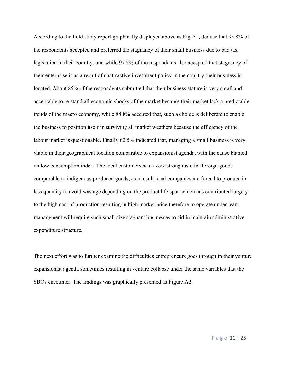According to the field study report graphically displayed above as Fig A1, deduce that 93.8% of the respondents accepted and preferred the stagnancy of their small business due to bad tax legislation in their country, and while 97.5% of the respondents also accepted that stagnancy of their enterprise is as a result of unattractive investment policy in the country their business is located. About 85% of the respondents submitted that their business stature is very small and acceptable to re-stand all economic shocks of the market because their market lack a predictable trends of the macro economy, while 88.8% accepted that, such a choice is deliberate to enable the business to position itself in surviving all market weathers because the efficiency of the labour market is questionable. Finally 62.5% indicated that, managing a small business is very viable in their geographical location comparable to expansionist agenda, with the cause blamed on low consumption index. The local customers has a very strong taste for foreign goods comparable to indigenous produced goods, as a result local companies are forced to produce in less quantity to avoid wastage depending on the product life span which has contributed largely to the high cost of production resulting in high market price therefore to operate under lean management will require such small size stagnant businesses to aid in maintain administrative expenditure structure.

The next effort was to further examine the difficulties entrepreneurs goes through in their venture expansionist agenda sometimes resulting in venture collapse under the same variables that the SBOs encounter. The findings was graphically presented as Figure A2.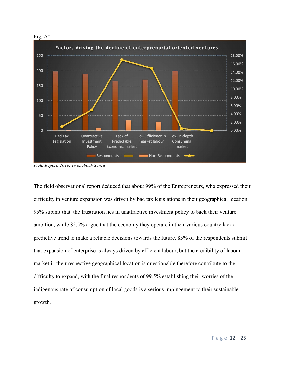

Field Report, 2016. Tweneboah Senzu

The field observational report deduced that about 99% of the Entrepreneurs, who expressed their difficulty in venture expansion was driven by bad tax legislations in their geographical location, 95% submit that, the frustration lies in unattractive investment policy to back their venture ambition, while 82.5% argue that the economy they operate in their various country lack a predictive trend to make a reliable decisions towards the future. 85% of the respondents submit that expansion of enterprise is always driven by efficient labour, but the credibility of labour market in their respective geographical location is questionable therefore contribute to the difficulty to expand, with the final respondents of 99.5% establishing their worries of the indigenous rate of consumption of local goods is a serious impingement to their sustainable growth.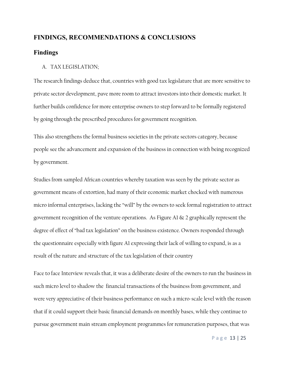## FINDINGS, RECOMMENDATIONS & CONCLUSIONS

## Findings

#### A. TAX LEGISLATION;

The research findings deduce that, countries with good tax legislature that are more sensitive to private sector development, pave more room to attract investors into their domestic market. It further builds confidence for more enterprise owners to step forward to be formally registered by going through the prescribed procedures for government recognition.

This also strengthens the formal business societies in the private sectors category, because people see the advancement and expansion of the business in connection with being recognized by government.

Studies from sampled African countries whereby taxation was seen by the private sector as government means of extortion, had many of their economic market chocked with numerous micro informal enterprises, lacking the "will" by the owners to seek formal registration to attract government recognition of the venture operations. As Figure A1  $\&$  2 graphically represent the degree of effect of "bad tax legislation" on the business existence. Owners responded through the questionnaire especially with figure A1 expressing their lack of willing to expand, is as a result of the nature and structure of the tax legislation of their country

Face to face Interview reveals that, it was a deliberate desire of the owners to run the business in such micro level to shadow the financial transactions of the business from government, and were very appreciative of their business performance on such a micro-scale level with the reason that if it could support their basic financial demands on monthly bases, while they continue to pursue government main stream employment programmes for remuneration purposes, that was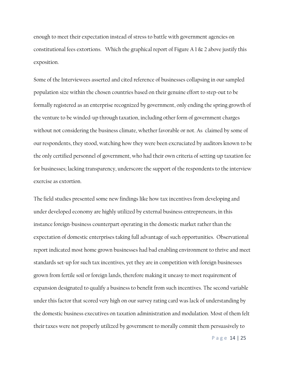enough to meet their expectation instead of stress to battle with government agencies on constitutional fees extortions. Which the graphical report of Figure A 1 & 2 above justify this exposition.

Some of the Interviewees asserted and cited reference of businesses collapsing in our sampled population size within the chosen countries based on their genuine effort to step-out to be formally registered as an enterprise recognized by government, only ending the spring growth of the venture to be winded-up through taxation, including other form of government charges without not considering the business climate, whether favorable or not. As claimed by some of our respondents, they stood, watching how they were been excruciated by auditors known to be the only certified personnel of government, who had their own criteria of setting-up taxation fee for businesses; lacking transparency, underscore the support of the respondents to the interview exercise as extortion.

The field studies presented some new findings like how tax incentives from developing and under developed economy are highly utilized by external business entrepreneurs, in this instance foreign-business counterpart operating in the domestic market rather than the expectation of domestic enterprises taking full advantage of such opportunities. Observational report indicated most home grown businesses had bad enabling environment to thrive and meet standards set-up for such tax incentives, yet they are in competition with foreign businesses grown from fertile soil or foreign lands, therefore making it uneasy to meet requirement of expansion designated to qualify a business to benefit from such incentives. The second variable under this factor that scored very high on our survey rating card was lack of understanding by the domestic business executives on taxation administration and modulation. Most of them felt their taxes were not properly utilized by government to morally commit them persuasively to

P a g e 14 | 25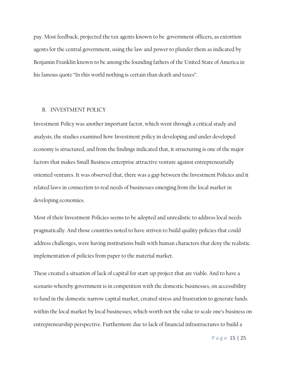pay. Most feedback, projected the tax agents known to be government officers, as extortion agents for the central government, using the law and power to plunder them as indicated by Benjamin Franklin known to be among the founding fathers of the United State of America in his famous quote "In this world nothing is certain than death and taxes".

#### B. INVESTMENT POLICY

Investment Policy was another important factor, which went through a critical study and analysis, the studies examined how Investment policy in developing and under developed economy is structured, and from the findings indicated that, it structuring is one of the major factors that makes Small Business enterprise attractive venture against entrepreneurially oriented ventures. It was observed that, there was a gap between the Investment Policies and it related laws in connection to real needs of businesses emerging from the local market in developing economies.

Most of their Investment Policies seems to be adopted and unrealistic to address local needs pragmatically. And those countries noted to have striven to build quality policies that could address challenges, were having institutions built with human characters that deny the realistic implementation of policies from paper to the material market.

These created a situation of lack of capital for start-up project that are viable. And to have a scenario whereby government is in competition with the domestic businesses, on accessibility to fund in the domestic narrow capital market, created stress and frustration to generate funds within the local market by local businesses; which worth not the value to scale one's business on entrepreneurship perspective. Furthermore due to lack of financial infrastructures to build a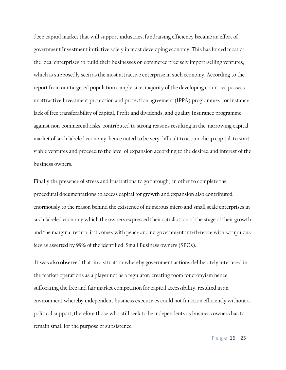deep capital market that will support industries, fundraising efficiency became an effort of government Investment initiative solely in most developing economy. This has forced most of the local enterprises to build their businesses on commerce precisely import-selling ventures, which is supposedly seen as the most attractive enterprise in such economy. According to the report from our targeted population sample size, majority of the developing countries possess unattractive Investment promotion and protection agreement (IPPA) programmes, for instance lack of free transferability of capital, Profit and dividends, and quality Insurance programme against non-commercial risks, contributed to strong reasons resulting in the narrowing capital market of such labeled economy, hence noted to be very difficult to attain cheap capital to start viable ventures and proceed to the level of expansion according to the desired and interest of the business owners.

Finally the presence of stress and frustrations to go through, in other to complete the procedural documentations to access capital for growth and expansion also contributed enormously to the reason behind the existence of numerous micro and small scale enterprises in such labeled economy which the owners expressed their satisfaction of the stage of their growth and the marginal return; if it comes with peace and no government interference with scrupulous fees as asserted by 99% of the identified Small Business owners (SBOs).

 It was also observed that, in a situation whereby government actions deliberately interfered in the market operations as a player not as a regulator, creating room for cronyism hence suffocating the free and fair market competition for capital accessibility, resulted in an environment whereby independent business executives could not function efficiently without a political support, therefore those who still seek to be independents as business owners has to remain small for the purpose of subsistence.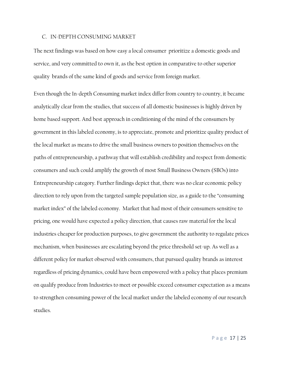#### C. IN-DEPTH CONSUMING MARKET

The next findings was based on how easy a local consumer prioritize a domestic goods and service, and very committed to own it, as the best option in comparative to other superior quality brands of the same kind of goods and service from foreign market.

Even though the In-depth Consuming market index differ from country to country, it became analytically clear from the studies, that success of all domestic businesses is highly driven by home based support. And best approach in conditioning of the mind of the consumers by government in this labeled economy, is to appreciate, promote and prioritize quality product of the local market as means to drive the small business owners to position themselves on the paths of entrepreneurship, a pathway that will establish credibility and respect from domestic consumers and such could amplify the growth of most Small Business Owners (SBOs) into Entrepreneurship category. Further findings depict that, there was no clear economic policy direction to rely upon from the targeted sample population size, as a guide to the "consuming market index" of the labeled economy. Market that had most of their consumers sensitive to pricing, one would have expected a policy direction, that causes raw material for the local industries cheaper for production purposes, to give government the authority to regulate prices mechanism, when businesses are escalating beyond the price threshold set-up. As well as a different policy for market observed with consumers, that pursued quality brands as interest regardless of pricing dynamics, could have been empowered with a policy that places premium on qualify produce from Industries to meet or possible exceed consumer expectation as a means to strengthen consuming power of the local market under the labeled economy of our research studies.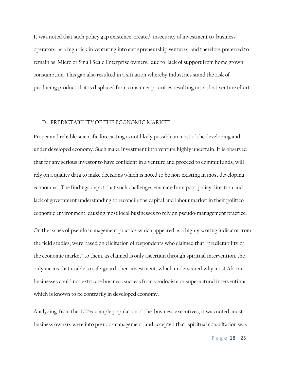It was noted that such policy gap existence, created insecurity of investment to business operators, as a high risk in venturing into entrepreneurship ventures and therefore preferred to remain as Micro or Small Scale Enterprise owners, due to lack of support from home grown consumption. This gap also resulted in a situation whereby Industries stand the risk of producing product that is displaced from consumer priorities resulting into a lost venture effort.

#### D. PREDICTABILITY OF THE ECONOMIC MARKET

Proper and reliable scientific forecasting is not likely possible in most of the developing and under developed economy. Such make Investment into venture highly uncertain. It is observed that for any serious investor to have confident in a venture and proceed to commit funds, will rely on a quality data to make decisions which is noted to be non-existing in most developing economies. The findings depict that such challenges emanate from poor policy direction and lack of government understanding to reconcile the capital and labour market in their politico economic environment, causing most local businesses to rely on pseudo-management practice.

On the issues of pseudo management practice which appeared as a highly scoring indicator from the field studies, were based on elicitation of respondents who claimed that "predictability of the economic market" to them, as claimed is only ascertain through spiritual intervention, the only means that is able to safe-guard their investment, which underscored why most African businesses could not extricate business success from voodooism or supernatural interventions which is known to be contrarily in developed economy.

Analyzing from the 100% sample population of the business executives, it was noted, most business owners were into pseudo-management, and accepted that, spiritual consultation was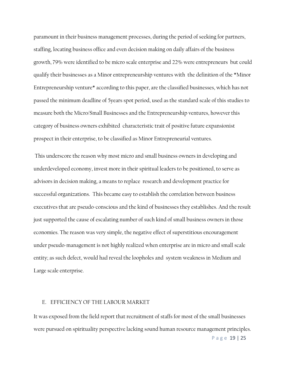paramount in their business management processes, during the period of seeking for partners, staffing, locating business office and even decision making on daily affairs of the business growth, 79% were identified to be micro scale enterprise and 22% were entrepreneurs but could qualify their businesses as a Minor entrepreneurship ventures with the definition of the \*Minor Entrepreneurship venture\* according to this paper, are the classified businesses, which has not passed the minimum deadline of 5years spot period, used as the standard scale of this studies to measure both the Micro/Small Businesses and the Entrepreneurship ventures, however this category of business owners exhibited characteristic trait of positive future expansionist prospect in their enterprise, to be classified as Minor Entrepreneurial ventures.

 This underscore the reason why most micro and small business owners in developing and underdeveloped economy, invest more in their spiritual leaders to be positioned, to serve as advisors in decision making, a means to replace research and development practice for successful organizations. This became easy to establish the correlation between business executives that are pseudo-conscious and the kind of businesses they establishes. And the result just supported the cause of escalating number of such kind of small business owners in those economies. The reason was very simple, the negative effect of superstitious encouragement under pseudo-management is not highly realized when enterprise are in micro and small scale entity; as such defect, would had reveal the loopholes and system weakness in Medium and Large scale enterprise.

#### E. EFFICIENCY OF THE LABOUR MARKET

P a g e 19 | 25 It was exposed from the field report that recruitment of staffs for most of the small businesses were pursued on spirituality perspective lacking sound human resource management principles.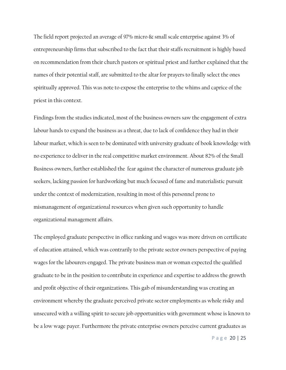The field report projected an average of 97% micro  $\&$  small scale enterprise against 3% of entrepreneurship firms that subscribed to the fact that their staffs recruitment is highly based on recommendation from their church pastors or spiritual priest and further explained that the names of their potential staff, are submitted to the altar for prayers to finally select the ones spiritually approved. This was note to expose the enterprise to the whims and caprice of the priest in this context.

Findings from the studies indicated, most of the business owners saw the engagement of extra labour hands to expand the business as a threat, due to lack of confidence they had in their labour market, which is seen to be dominated with university graduate of book knowledge with no experience to deliver in the real competitive market environment. About 82% of the Small Business owners, further established the fear against the character of numerous graduate job seekers, lacking passion for hardworking but much focused of fame and materialistic pursuit under the context of modernization, resulting in most of this personnel prone to mismanagement of organizational resources when given such opportunity to handle organizational management affairs.

The employed graduate perspective in office ranking and wages was more driven on certificate of education attained, which was contrarily to the private sector owners perspective of paying wages for the labourers engaged. The private business man or woman expected the qualified graduate to be in the position to contribute in experience and expertise to address the growth and profit objective of their organizations. This gab of misunderstanding was creating an environment whereby the graduate perceived private sector employments as whole risky and unsecured with a willing spirit to secure job opportunities with government whose is known to be a low wage payer. Furthermore the private enterprise owners perceive current graduates as

P a g e 20 | 25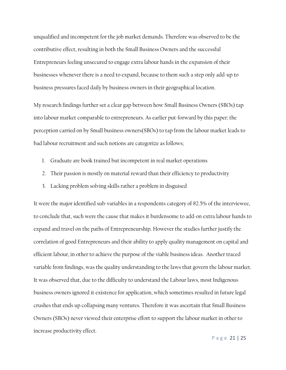unqualified and incompetent for the job market demands. Therefore was observed to be the contributive effect, resulting in both the Small Business Owners and the successful Entrepreneurs feeling unsecured to engage extra labour hands in the expansion of their businesses whenever there is a need to expand, because to them such a step only add-up to business pressures faced daily by business owners in their geographical location.

My research findings further set a clear gap between how Small Business Owners (SBOs) tap into labour market comparable to entrepreneurs. As earlier put-forward by this paper; the perception carried on by Small business owners(SBOs) to tap from the labour market leads to bad labour recruitment and such notions are categorize as follows;

- 1. Graduate are book trained but incompetent in real market operations
- 2. Their passion is mostly on material reward than their efficiency to productivity
- 3. Lacking problem solving skills rather a problem in disguised

It were the major identified sub-variables in a respondents category of 82.5% of the interviewee, to conclude that, such were the cause that makes it burdensome to add-on extra labour hands to expand and travel on the paths of Entrepreneurship. However the studies further justify the correlation of good Entrepreneurs and their ability to apply quality management on capital and efficient labour, in other to achieve the purpose of the viable business ideas. Another traced variable from findings, was the quality understanding to the laws that govern the labour market. It was observed that, due to the difficulty to understand the Labour laws, most Indigenous business owners ignored it existence for application, which sometimes resulted in future legal crushes that ends up collapsing many ventures. Therefore it was ascertain that Small Business Owners (SBOs) never viewed their enterprise effort to support the labour market in other to increase productivity effect.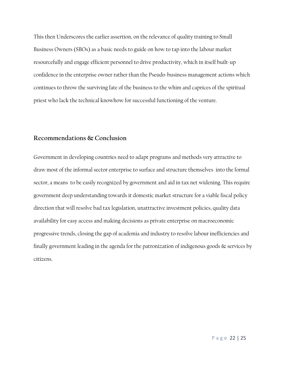This then Underscores the earlier assertion, on the relevance of quality training to Small Business Owners (SBOs) as a basic needs to guide on how to tap into the labour market resourcefully and engage efficient personnel to drive productivity, which in itself built-up confidence in the enterprise owner rather than the Pseudo-business management actions which continues to throw the surviving fate of the business to the whim and caprices of the spiritual priest who lack the technical knowhow for successful functioning of the venture.

## Recommendations & Conclusion

Government in developing countries need to adapt programs and methods very attractive to draw most of the informal sector enterprise to surface and structure themselves into the formal sector, a means to be easily recognized by government and aid in tax net widening. This require government deep understanding towards it domestic market structure for a viable fiscal policy direction that will resolve bad tax legislation, unattractive investment policies, quality data availability for easy access and making decisions as private enterprise on macroeconomic progressive trends, closing the gap of academia and industry to resolve labour inefficiencies and finally government leading in the agenda for the patronization of indigenous goods  $\&$  services by citizens.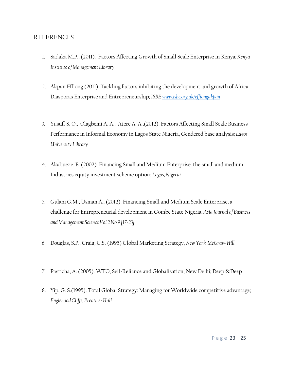## REFERENCES

- 1. Sadaka M.P., (2011). Factors Affecting Growth of Small Scale Enterprise in Kenya: Kenya Institute of Management Library
- 2. Akpan Effiong (2011). Tackling factors inhibiting the development and growth of Africa Diasporas Enterprise and Entrepreneurship; ISBE [www.isbe.org.uk/effiongakpan](http://www.isbe.org.uk/effiongakpan)
- 3. Yusuff S. O., Olagbemi A. A., Atere A. A.,(2012). Factors Affecting Small Scale Business Performance in Informal Economy in Lagos State Nigeria, Gendered base analysis; Lagos University Library
- 4. Akabueze, B. (2002). Financing Small and Medium Enterprise: the small and medium Industries equity investment scheme option; Logos, Nigeria
- 5. Gulani G.M., Usman A., (2012). Financing Small and Medium Scale Enterprise, a challenge for Entrepreneurial development in Gombe State Nigeria; Asia Journal of Business and Management Science Vol.2 No.9 [17-23]
- 6. Douglas, S.P., Craig, C.S. (1995) Global Marketing Strategy, New York. McGraw-Hill
- 7. Pasricha, A. (2005). WTO, Self-Reliance and Globalisation, New Delhi; Deep &Deep
- 8. Yip, G. S.(1995). Total Global Strategy: Managing for Worldwide competitive advantage; Englenood Cliffs, Prentice- Hall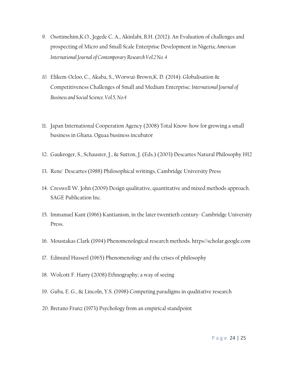- 9. Osotimehim,K.O., Jegede C. A., Akinlabi, B.H. (2012). An Evaluation of challenges and prospecting of Micro and Small Scale Enterprise Development in Nigeria; American International Journal of Contemporary Research Vol.2 No. 4
- 10. Elikem-Ocloo, C., Akaba, S., Worwui-Brown,K. D. (2014). Globalisation & Competitiveness Challenges of Small and Medium Enterprise; International Journal of Business and Social Science. Vol.5, No.4
- 11. Japan International Cooperation Agency (2008) Total Know-how for growing a small business in Ghana. Oguaa business incubator
- 12. Gaukroger, S., Schauster, J., & Sutton, J. (Eds.) (2003) Descartes Natural Philosophy 1912
- 13. Rene´ Descartes (1988) Philosophical writings, Cambridge University Press
- 14. Creswell W. John (2009) Design qualitative, quantitative and mixed methods approach. SAGE Publication Inc.
- 15. Immanuel Kant (1966) Kantianism, in the later twentieth century- Cambridge University Press.
- 16. Moustakas Clark (1994) Phenomenological research methods. https//scholar.google.com
- 17. Edmund Husserl (1965) Phenomenology and the crises of philosophy
- 18. Wolcott F. Harry (2008) Ethnography; a way of seeing
- 19. Guba, E. G., & Lincoln, Y.S. (1998) Competing paradigms in qualitative research
- 20. Bretano Franz (1973) Psychology from an empirical standpoint